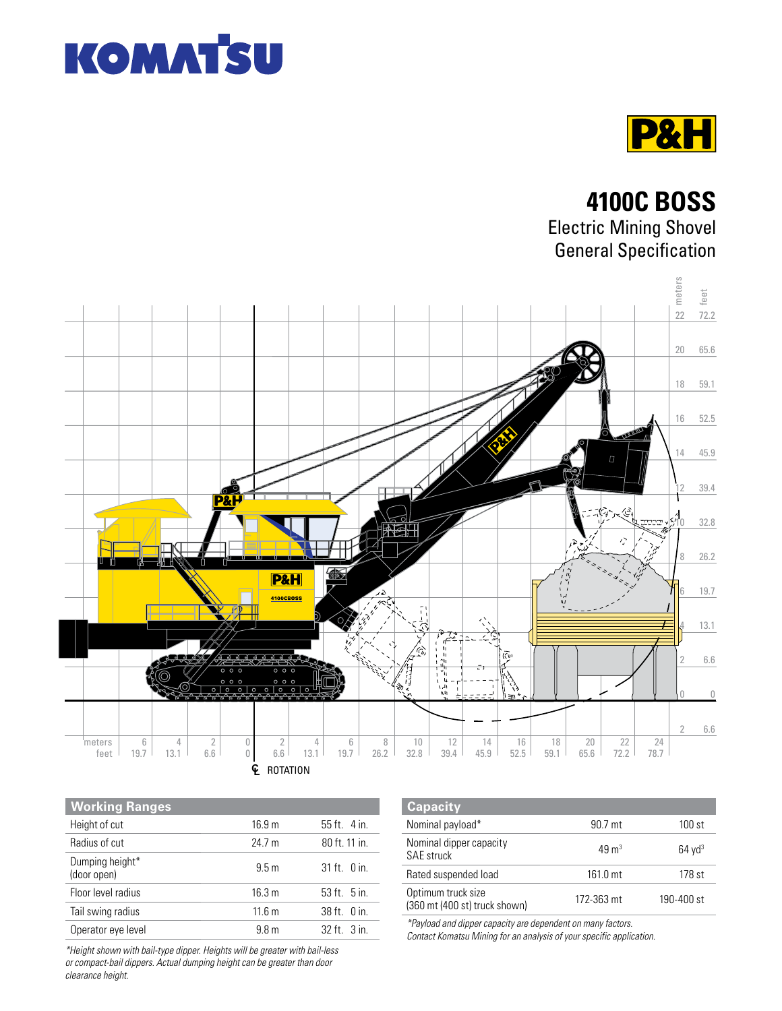



**4100C BOSS** Electric Mining Shovel General Specification



| <b>Working Ranges</b>          |                   |                     |
|--------------------------------|-------------------|---------------------|
| Height of cut                  | 16.9 <sub>m</sub> | $55$ ft $4$ in      |
| Radius of cut                  | 24.7 m            | 80 ft. 11 in.       |
| Dumping height*<br>(door open) | 9.5 <sub>m</sub>  | $31$ ft $\theta$ in |
| Floor level radius             | 16.3 m            | 53 ft. 5 in.        |
| Tail swing radius              | 11.6 m            | $38$ ft $\alpha$ in |
| Operator eye level             | 9.8 <sub>m</sub>  | $32$ ft $3$ in      |

| <b>Capacity</b>                                     |                  |                      |
|-----------------------------------------------------|------------------|----------------------|
| Nominal payload*                                    | 90.7 mt          | 100 st               |
| Nominal dipper capacity<br><b>SAE</b> struck        | $49 \text{ m}^3$ | $64$ yd <sup>3</sup> |
| Rated suspended load                                | $161.0$ mt       | 178 st               |
| Optimum truck size<br>(360 mt (400 st) truck shown) | 172-363 mt       | 190-400 st           |

*\*Payload and dipper capacity are dependent on many factors.* 

*Contact Komatsu Mining for an analysis of your specific application.*

*\*Height shown with bail-type dipper. Heights will be greater with bail-less or compact-bail dippers. Actual dumping height can be greater than door clearance height.*